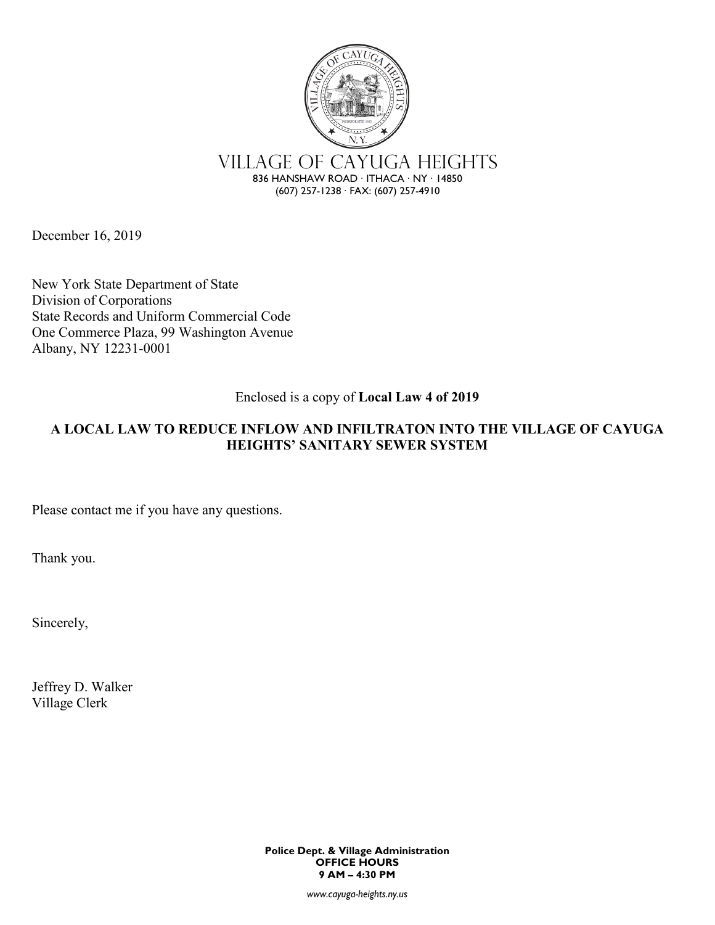

December 16, 2019

New York State Department of State Division of Corporations State Records and Uniform Commercial Code One Commerce Plaza, 99 Washington Avenue Albany, NY 12231-0001

## Enclosed is a copy of **Local Law 4 of 2019**

## **A LOCAL LAW TO REDUCE INFLOW AND INFILTRATON INTO THE VILLAGE OF CAYUGA HEIGHTS' SANITARY SEWER SYSTEM**

Please contact me if you have any questions.

Thank you.

Sincerely,

Jeffrey D. Walker Village Clerk

> **Police Dept. & Village Administration OFFICE HOURS 9 AM – 4:30 PM**

> > *www.cayuga-heights.ny.us*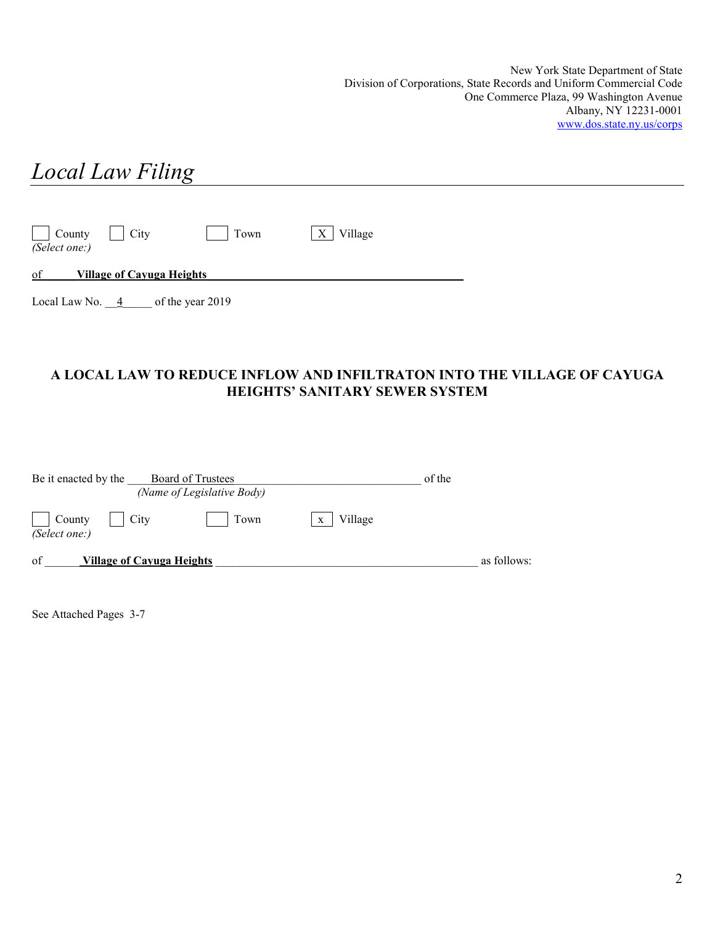New York State Department of State Division of Corporations, State Records and Uniform Commercial Code One Commerce Plaza, 99 Washington Avenue Albany, NY 12231-0001 [www.dos.state.ny.us/corps](http://www.dos.state.ny.us/corps)

# *Local Law Filing* County  $\Box$  City  $\Box$  Town  $\Box$  X Village *(Select one:)* of \_\_\_\_\_**Village of Cayuga Heights**\_\_\_\_\_\_\_\_\_\_\_\_\_\_\_\_\_\_\_\_\_\_\_\_\_\_\_\_\_\_\_\_\_\_\_\_\_\_\_\_\_\_\_\_ Local Law No.  $\frac{4}{-4}$  of the year 2019

## **A LOCAL LAW TO REDUCE INFLOW AND INFILTRATON INTO THE VILLAGE OF CAYUGA HEIGHTS' SANITARY SEWER SYSTEM**

| Be it enacted by the<br>Board of Trustees<br>(Name of Legislative Body) |              | of the      |
|-------------------------------------------------------------------------|--------------|-------------|
| City<br>County<br>Town<br>(Select one:)                                 | Village<br>X |             |
| of<br>Village of Cayuga Heights                                         |              | as follows: |

See Attached Pages 3-7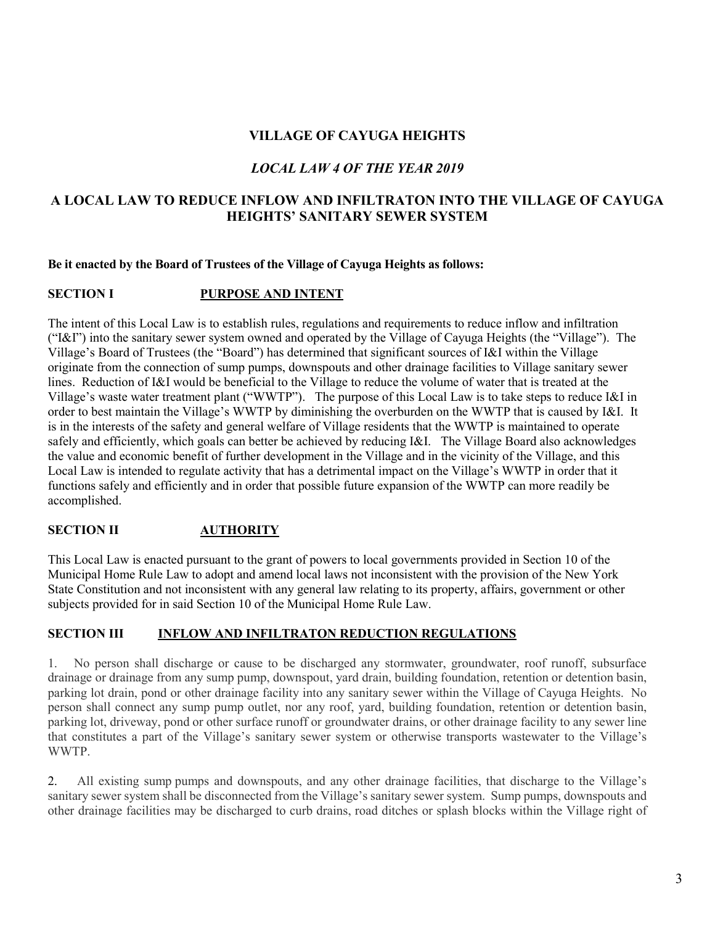## **VILLAGE OF CAYUGA HEIGHTS**

## *LOCAL LAW 4 OF THE YEAR 2019*

## **A LOCAL LAW TO REDUCE INFLOW AND INFILTRATON INTO THE VILLAGE OF CAYUGA HEIGHTS' SANITARY SEWER SYSTEM**

#### **Be it enacted by the Board of Trustees of the Village of Cayuga Heights as follows:**

#### **SECTION I PURPOSE AND INTENT**

The intent of this Local Law is to establish rules, regulations and requirements to reduce inflow and infiltration ("I&I") into the sanitary sewer system owned and operated by the Village of Cayuga Heights (the "Village"). The Village's Board of Trustees (the "Board") has determined that significant sources of I&I within the Village originate from the connection of sump pumps, downspouts and other drainage facilities to Village sanitary sewer lines. Reduction of I&I would be beneficial to the Village to reduce the volume of water that is treated at the Village's waste water treatment plant ("WWTP"). The purpose of this Local Law is to take steps to reduce I&I in order to best maintain the Village's WWTP by diminishing the overburden on the WWTP that is caused by I&I. It is in the interests of the safety and general welfare of Village residents that the WWTP is maintained to operate safely and efficiently, which goals can better be achieved by reducing I&I. The Village Board also acknowledges the value and economic benefit of further development in the Village and in the vicinity of the Village, and this Local Law is intended to regulate activity that has a detrimental impact on the Village's WWTP in order that it functions safely and efficiently and in order that possible future expansion of the WWTP can more readily be accomplished.

## **SECTION II AUTHORITY**

This Local Law is enacted pursuant to the grant of powers to local governments provided in Section 10 of the Municipal Home Rule Law to adopt and amend local laws not inconsistent with the provision of the New York State Constitution and not inconsistent with any general law relating to its property, affairs, government or other subjects provided for in said Section 10 of the Municipal Home Rule Law.

#### **SECTION III INFLOW AND INFILTRATON REDUCTION REGULATIONS**

1. No person shall discharge or cause to be discharged any stormwater, groundwater, roof runoff, subsurface drainage or drainage from any sump pump, downspout, yard drain, building foundation, retention or detention basin, parking lot drain, pond or other drainage facility into any sanitary sewer within the Village of Cayuga Heights. No person shall connect any sump pump outlet, nor any roof, yard, building foundation, retention or detention basin, parking lot, driveway, pond or other surface runoff or groundwater drains, or other drainage facility to any sewer line that constitutes a part of the Village's sanitary sewer system or otherwise transports wastewater to the Village's WWTP.

2. All existing sump pumps and downspouts, and any other drainage facilities, that discharge to the Village's sanitary sewer system shall be disconnected from the Village's sanitary sewer system. Sump pumps, downspouts and other drainage facilities may be discharged to curb drains, road ditches or splash blocks within the Village right of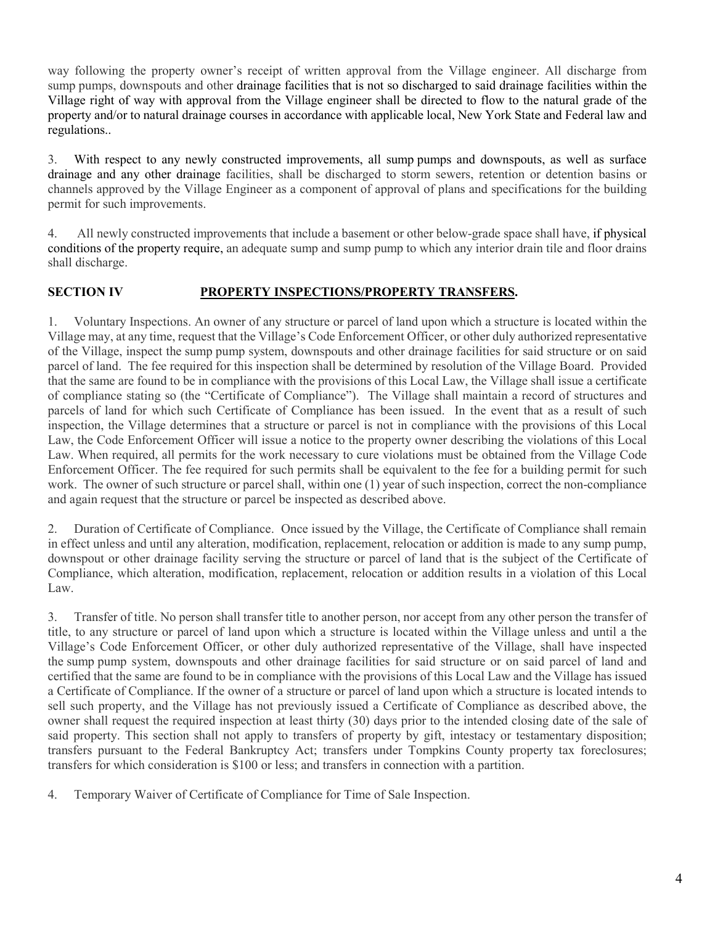way following the property owner's receipt of written approval from the Village engineer. All discharge from sump pumps, downspouts and other drainage facilities that is not so discharged to said drainage facilities within the Village right of way with approval from the Village engineer shall be directed to flow to the natural grade of the property and/or to natural drainage courses in accordance with applicable local, New York State and Federal law and regulations..

3. With respect to any newly constructed improvements, all sump pumps and downspouts, as well as surface drainage and any other drainage facilities, shall be discharged to storm sewers, retention or detention basins or channels approved by the Village Engineer as a component of approval of plans and specifications for the building permit for such improvements.

4. All newly constructed improvements that include a basement or other below-grade space shall have, if physical conditions of the property require, an adequate sump and sump pump to which any interior drain tile and floor drains shall discharge.

#### **SECTION IV PROPERTY INSPECTIONS/PROPERTY TRANSFERS.**

1. Voluntary Inspections. An owner of any structure or parcel of land upon which a structure is located within the Village may, at any time, request that the Village's Code Enforcement Officer, or other duly authorized representative of the Village, inspect the sump pump system, downspouts and other drainage facilities for said structure or on said parcel of land. The fee required for this inspection shall be determined by resolution of the Village Board. Provided that the same are found to be in compliance with the provisions of this Local Law, the Village shall issue a certificate of compliance stating so (the "Certificate of Compliance"). The Village shall maintain a record of structures and parcels of land for which such Certificate of Compliance has been issued. In the event that as a result of such inspection, the Village determines that a structure or parcel is not in compliance with the provisions of this Local Law, the Code Enforcement Officer will issue a notice to the property owner describing the violations of this Local Law. When required, all permits for the work necessary to cure violations must be obtained from the Village Code Enforcement Officer. The fee required for such permits shall be equivalent to the fee for a building permit for such work. The owner of such structure or parcel shall, within one (1) year of such inspection, correct the non-compliance and again request that the structure or parcel be inspected as described above.

2. Duration of Certificate of Compliance. Once issued by the Village, the Certificate of Compliance shall remain in effect unless and until any alteration, modification, replacement, relocation or addition is made to any sump pump, downspout or other drainage facility serving the structure or parcel of land that is the subject of the Certificate of Compliance, which alteration, modification, replacement, relocation or addition results in a violation of this Local Law.

3. Transfer of title. No person shall transfer title to another person, nor accept from any other person the transfer of title, to any structure or parcel of land upon which a structure is located within the Village unless and until a the Village's Code Enforcement Officer, or other duly authorized representative of the Village, shall have inspected the sump pump system, downspouts and other drainage facilities for said structure or on said parcel of land and certified that the same are found to be in compliance with the provisions of this Local Law and the Village has issued a Certificate of Compliance. If the owner of a structure or parcel of land upon which a structure is located intends to sell such property, and the Village has not previously issued a Certificate of Compliance as described above, the owner shall request the required inspection at least thirty (30) days prior to the intended closing date of the sale of said property. This section shall not apply to transfers of property by gift, intestacy or testamentary disposition; transfers pursuant to the Federal Bankruptcy Act; transfers under Tompkins County property tax foreclosures; transfers for which consideration is \$100 or less; and transfers in connection with a partition.

4. Temporary Waiver of Certificate of Compliance for Time of Sale Inspection.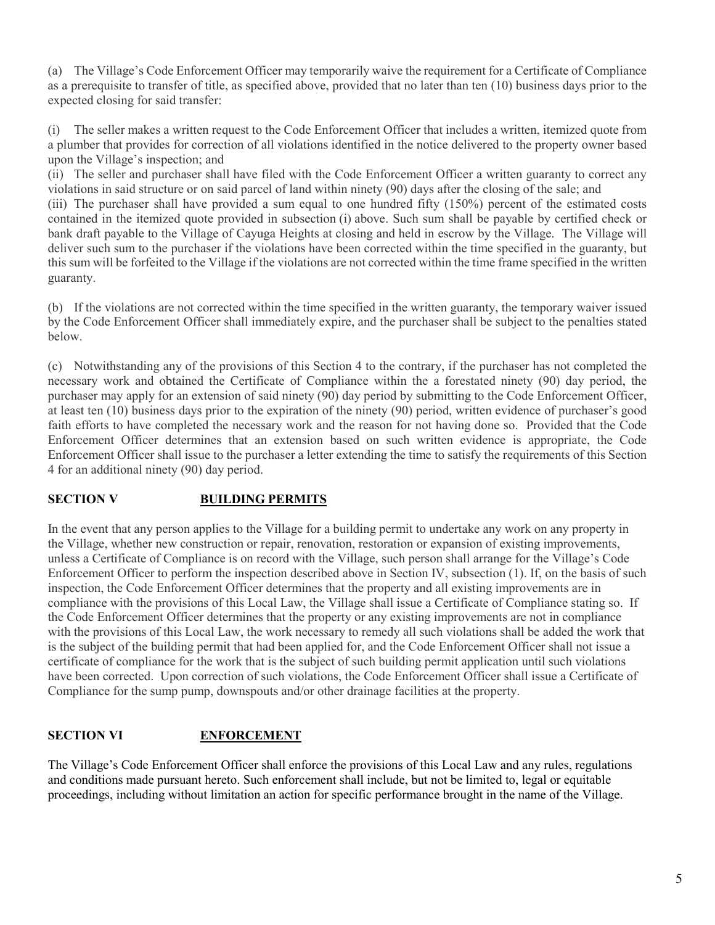(a) The Village's Code Enforcement Officer may temporarily waive the requirement for a Certificate of Compliance as a prerequisite to transfer of title, as specified above, provided that no later than ten (10) business days prior to the expected closing for said transfer:

(i) The seller makes a written request to the Code Enforcement Officer that includes a written, itemized quote from a plumber that provides for correction of all violations identified in the notice delivered to the property owner based upon the Village's inspection; and

(ii) The seller and purchaser shall have filed with the Code Enforcement Officer a written guaranty to correct any violations in said structure or on said parcel of land within ninety (90) days after the closing of the sale; and

(iii) The purchaser shall have provided a sum equal to one hundred fifty (150%) percent of the estimated costs contained in the itemized quote provided in subsection [\(i\)](https://ecode360.com/30959548#30959548) above. Such sum shall be payable by certified check or bank draft payable to the Village of Cayuga Heights at closing and held in escrow by the Village. The Village will deliver such sum to the purchaser if the violations have been corrected within the time specified in the guaranty, but this sum will be forfeited to the Village if the violations are not corrected within the time frame specified in the written guaranty.

(b) If the violations are not corrected within the time specified in the written guaranty, the temporary waiver issued by the Code Enforcement Officer shall immediately expire, and the purchaser shall be subject to the penalties stated below.

(c) Notwithstanding any of the provisions of this Section 4 to the contrary, if the purchaser has not completed the necessary work and obtained the Certificate of Compliance within the a forestated ninety (90) day period, the purchaser may apply for an extension of said ninety (90) day period by submitting to the Code Enforcement Officer, at least ten (10) business days prior to the expiration of the ninety (90) period, written evidence of purchaser's good faith efforts to have completed the necessary work and the reason for not having done so. Provided that the Code Enforcement Officer determines that an extension based on such written evidence is appropriate, the Code Enforcement Officer shall issue to the purchaser a letter extending the time to satisfy the requirements of this Section 4 for an additional ninety (90) day period.

## **SECTION V BUILDING PERMITS**

In the event that any person applies to the Village for a building permit to undertake any work on any property in the Village, whether new construction or repair, renovation, restoration or expansion of existing improvements, unless a Certificate of Compliance is on record with the Village, such person shall arrange for the Village's Code Enforcement Officer to perform the inspection described above in Section IV, subsection (1). If, on the basis of such inspection, the Code Enforcement Officer determines that the property and all existing improvements are in compliance with the provisions of this Local Law, the Village shall issue a Certificate of Compliance stating so. If the Code Enforcement Officer determines that the property or any existing improvements are not in compliance with the provisions of this Local Law, the work necessary to remedy all such violations shall be added the work that is the subject of the building permit that had been applied for, and the Code Enforcement Officer shall not issue a certificate of compliance for the work that is the subject of such building permit application until such violations have been corrected. Upon correction of such violations, the Code Enforcement Officer shall issue a Certificate of Compliance for the sump pump, downspouts and/or other drainage facilities at the property.

## **SECTION VI ENFORCEMENT**

The Village's Code Enforcement Officer shall enforce the provisions of this Local Law and any rules, regulations and conditions made pursuant hereto. Such enforcement shall include, but not be limited to, legal or equitable proceedings, including without limitation an action for specific performance brought in the name of the Village.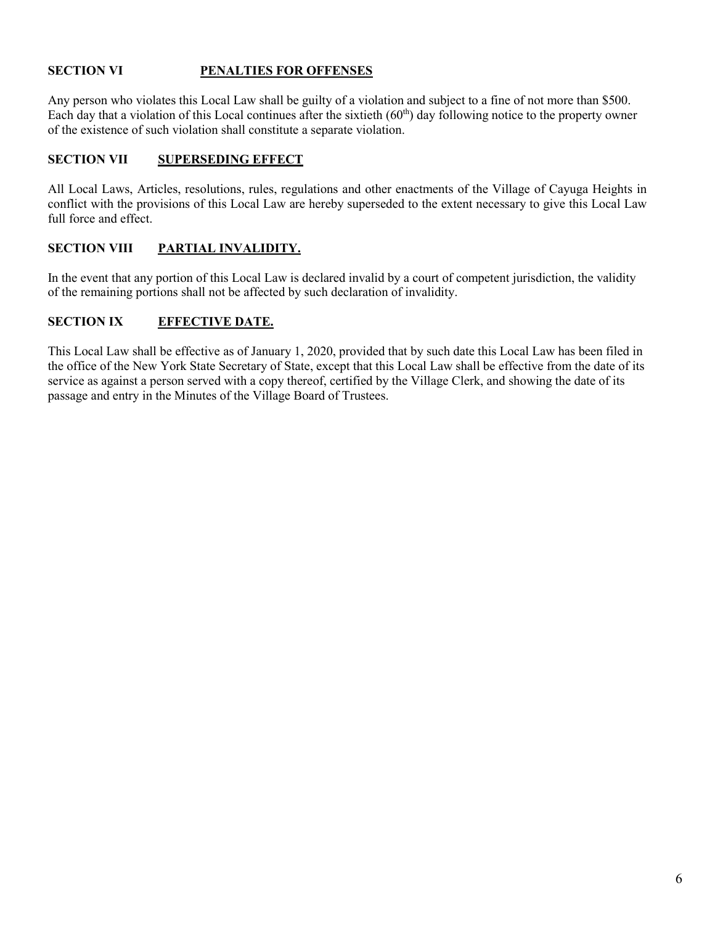## **SECTION VI PENALTIES FOR OFFENSES**

Any person who violates this Local Law shall be guilty of a violation and subject to a fine of not more than \$500. Each day that a violation of this Local continues after the sixtieth (60<sup>th</sup>) day following notice to the property owner of the existence of such violation shall constitute a separate violation.

#### **SECTION VII SUPERSEDING EFFECT**

All Local Laws, Articles, resolutions, rules, regulations and other enactments of the Village of Cayuga Heights in conflict with the provisions of this Local Law are hereby superseded to the extent necessary to give this Local Law full force and effect.

#### **SECTION VIII PARTIAL INVALIDITY.**

In the event that any portion of this Local Law is declared invalid by a court of competent jurisdiction, the validity of the remaining portions shall not be affected by such declaration of invalidity.

#### **SECTION IX EFFECTIVE DATE.**

This Local Law shall be effective as of January 1, 2020, provided that by such date this Local Law has been filed in the office of the New York State Secretary of State, except that this Local Law shall be effective from the date of its service as against a person served with a copy thereof, certified by the Village Clerk, and showing the date of its passage and entry in the Minutes of the Village Board of Trustees.